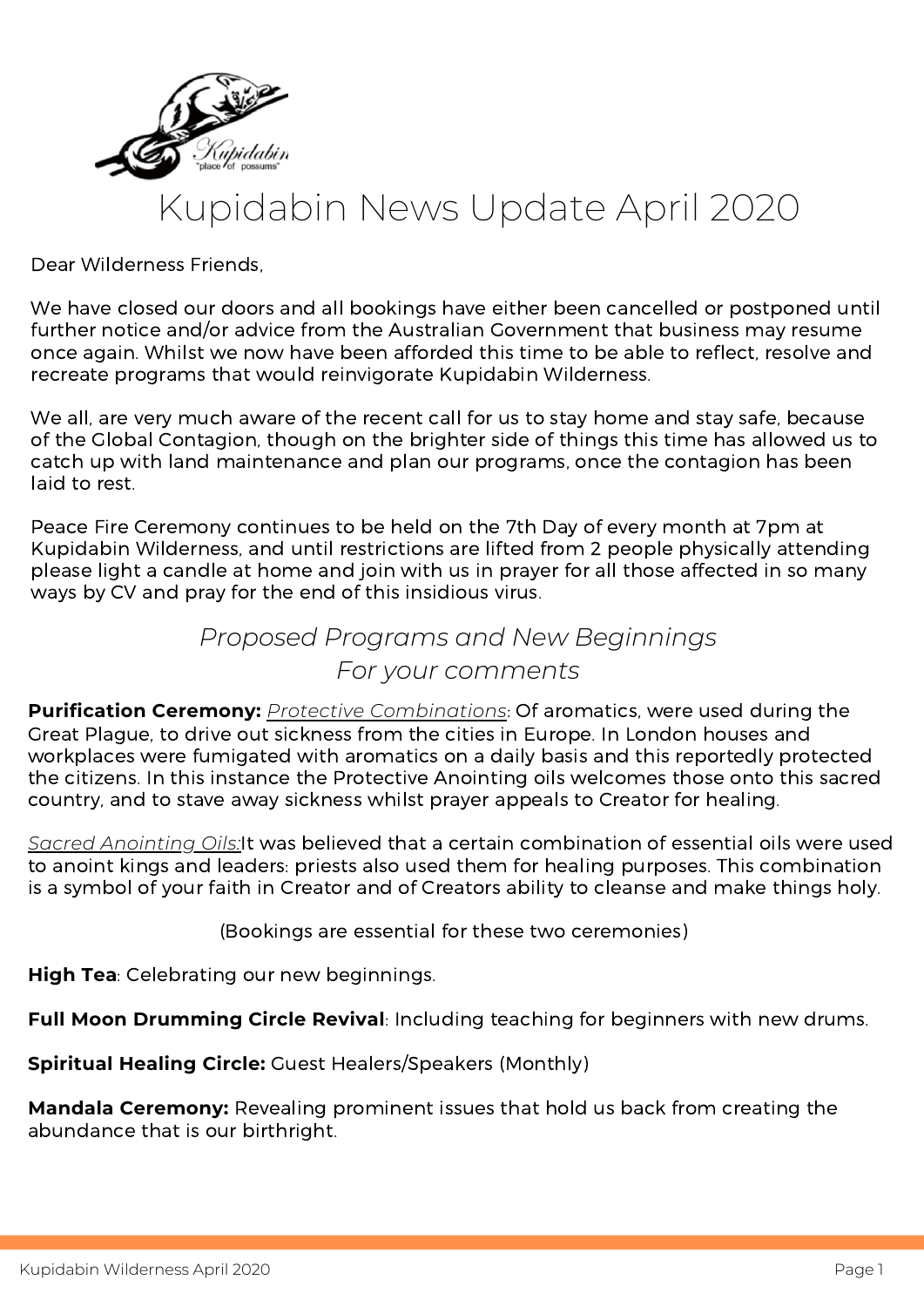

## Kupidabin News Update April 2020

Dear Wilderness Friends,

We have closed our doors and all bookings have either been cancelled or postponed until further notice and/or advice from the Australian Government that business may resume once again. Whilst we now have been afforded this time to be able to reflect, resolve and recreate programs that would reinvigorate Kupidabin Wilderness.

We all, are very much aware of the recent call for us to stay home and stay safe, because of the Global Contagion, though on the brighter side of things this time has allowed us to catch up with land maintenance and plan our programs, once the contagion has been laid to rest.

Peace Fire Ceremony continues to be held on the 7th Day of every month at 7pm at Kupidabin Wilderness, and until restrictions are lifted from 2 people physically attending please light a candle at home and join with us in prayer for all those affected in so many ways by CV and pray for the end of this insidious virus.

## *Proposed Programs and New Beginnings For your comments*

**Purification Ceremony:** *Protective Combinations*: Of aromatics, were used during the Great Plague, to drive out sickness from the cities in Europe. In London houses and workplaces were fumigated with aromatics on a daily basis and this reportedly protected the citizens. In this instance the Protective Anointing oils welcomes those onto this sacred country, and to stave away sickness whilst prayer appeals to Creator for healing.

*Sacred Anointing Oils:*It was believed that a certain combination of essential oils were used to anoint kings and leaders: priests also used them for healing purposes. This combination is a symbol of your faith in Creator and of Creators ability to cleanse and make things holy.

(Bookings are essential for these two ceremonies)

**High Tea**: Celebrating our new beginnings.

**Full Moon Drumming Circle Revival**: Including teaching for beginners with new drums.

**Spiritual Healing Circle:** Guest Healers/Speakers (Monthly)

**Mandala Ceremony:** Revealing prominent issues that hold us back from creating the abundance that is our birthright.